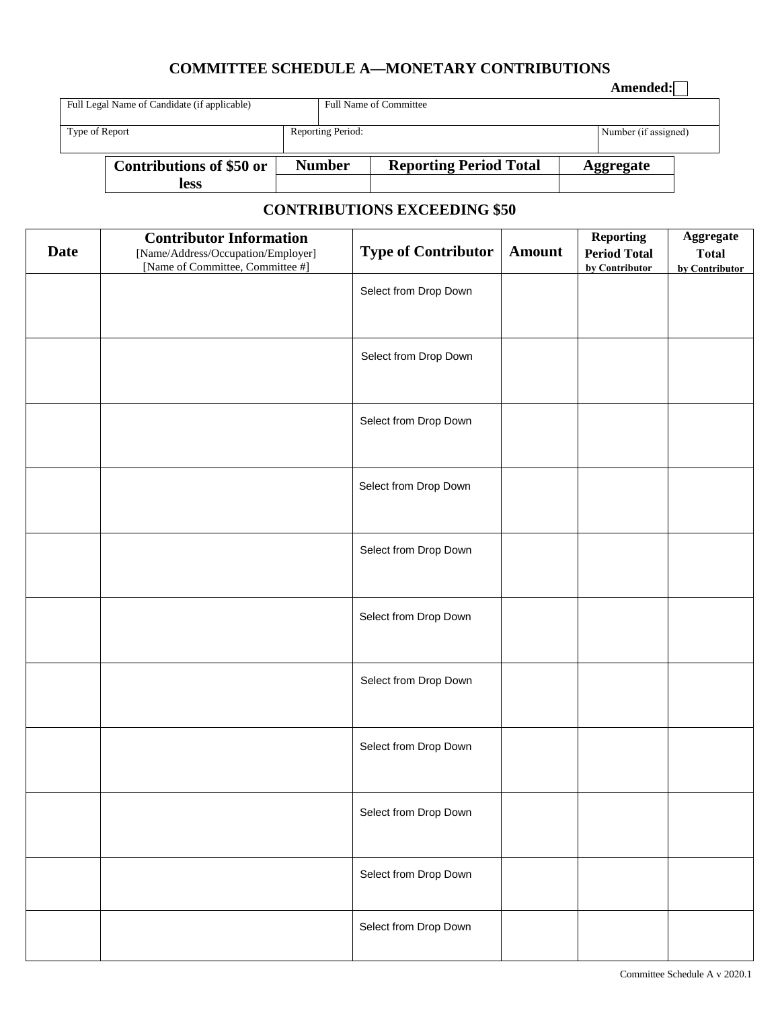## **COMMITTEE SCHEDULE A—MONETARY CONTRIBUTIONS**

|                                              |                                 |  |                               |                               |                  | Amended:             |  |
|----------------------------------------------|---------------------------------|--|-------------------------------|-------------------------------|------------------|----------------------|--|
| Full Legal Name of Candidate (if applicable) |                                 |  | <b>Full Name of Committee</b> |                               |                  |                      |  |
|                                              |                                 |  |                               |                               |                  |                      |  |
| Type of Report                               |                                 |  | Reporting Period:             |                               |                  | Number (if assigned) |  |
|                                              |                                 |  |                               |                               |                  |                      |  |
|                                              | <b>Contributions of \$50 or</b> |  | <b>Number</b>                 | <b>Reporting Period Total</b> | <b>Aggregate</b> |                      |  |
|                                              | <b>less</b>                     |  |                               |                               |                  |                      |  |

## **CONTRIBUTIONS EXCEEDING \$50**

| <b>Date</b> | <b>Contributor Information</b><br>[Name/Address/Occupation/Employer]<br>[Name of Committee, Committee #] | <b>Type of Contributor</b> | <b>Amount</b> | <b>Reporting</b><br><b>Period Total</b><br>by Contributor | Aggregate<br><b>Total</b><br>by Contributor |
|-------------|----------------------------------------------------------------------------------------------------------|----------------------------|---------------|-----------------------------------------------------------|---------------------------------------------|
|             |                                                                                                          | Select from Drop Down      |               |                                                           |                                             |
|             |                                                                                                          | Select from Drop Down      |               |                                                           |                                             |
|             |                                                                                                          | Select from Drop Down      |               |                                                           |                                             |
|             |                                                                                                          | Select from Drop Down      |               |                                                           |                                             |
|             |                                                                                                          | Select from Drop Down      |               |                                                           |                                             |
|             |                                                                                                          | Select from Drop Down      |               |                                                           |                                             |
|             |                                                                                                          | Select from Drop Down      |               |                                                           |                                             |
|             |                                                                                                          | Select from Drop Down      |               |                                                           |                                             |
|             |                                                                                                          | Select from Drop Down      |               |                                                           |                                             |
|             |                                                                                                          | Select from Drop Down      |               |                                                           |                                             |
|             |                                                                                                          | Select from Drop Down      |               |                                                           |                                             |